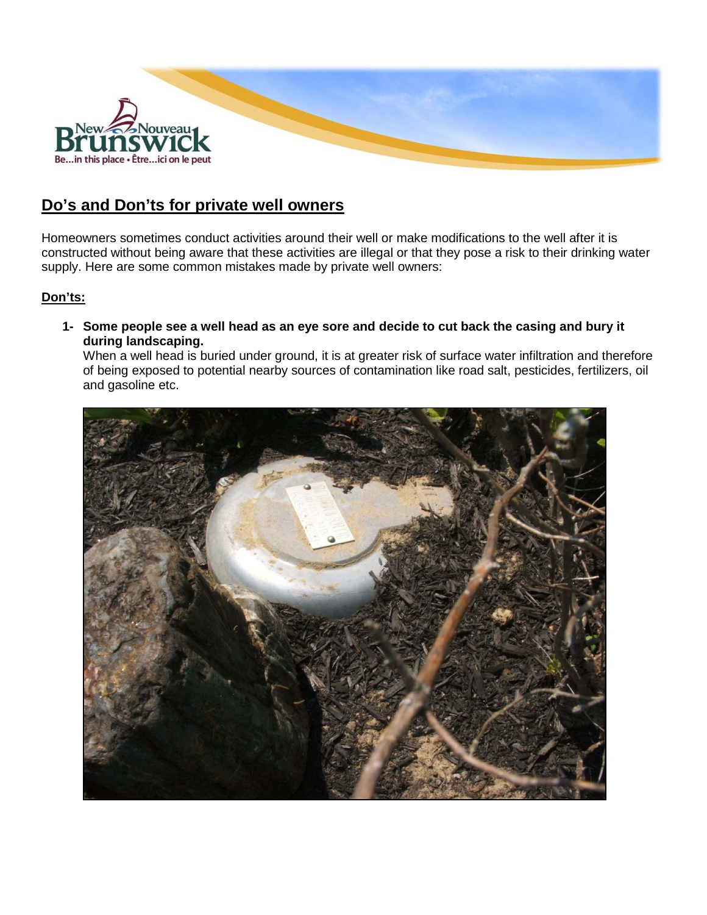

## **Do's and Don'ts for private well owners**

Homeowners sometimes conduct activities around their well or make modifications to the well after it is constructed without being aware that these activities are illegal or that they pose a risk to their drinking water supply. Here are some common mistakes made by private well owners:

## **Don'ts:**

**1- Some people see a well head as an eye sore and decide to cut back the casing and bury it during landscaping.** 

When a well head is buried under ground, it is at greater risk of surface water infiltration and therefore of being exposed to potential nearby sources of contamination like road salt, pesticides, fertilizers, oil and gasoline etc.

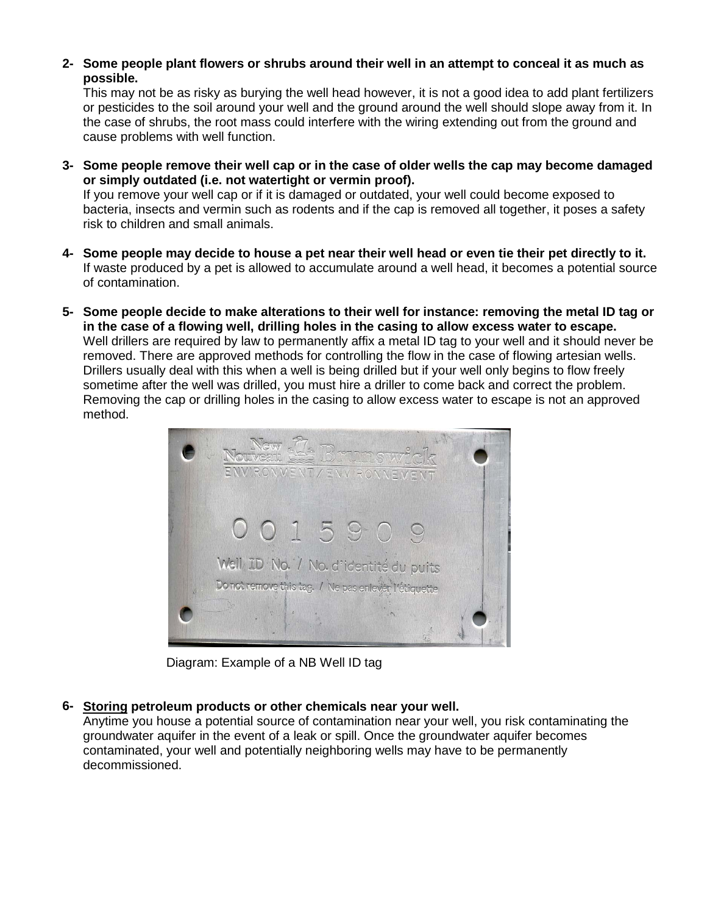**2- Some people plant flowers or shrubs around their well in an attempt to conceal it as much as possible.**

This may not be as risky as burying the well head however, it is not a good idea to add plant fertilizers or pesticides to the soil around your well and the ground around the well should slope away from it. In the case of shrubs, the root mass could interfere with the wiring extending out from the ground and cause problems with well function.

**3- Some people remove their well cap or in the case of older wells the cap may become damaged or simply outdated (i.e. not watertight or vermin proof).**

If you remove your well cap or if it is damaged or outdated, your well could become exposed to bacteria, insects and vermin such as rodents and if the cap is removed all together, it poses a safety risk to children and small animals.

- **4- Some people may decide to house a pet near their well head or even tie their pet directly to it.** If waste produced by a pet is allowed to accumulate around a well head, it becomes a potential source of contamination.
- **5- Some people decide to make alterations to their well for instance: removing the metal ID tag or in the case of a flowing well, drilling holes in the casing to allow excess water to escape.** Well drillers are required by law to permanently affix a metal ID tag to your well and it should never be removed. There are approved methods for controlling the flow in the case of flowing artesian wells. Drillers usually deal with this when a well is being drilled but if your well only begins to flow freely sometime after the well was drilled, you must hire a driller to come back and correct the problem. Removing the cap or drilling holes in the casing to allow excess water to escape is not an approved method.



Diagram: Example of a NB Well ID tag

**6- Storing petroleum products or other chemicals near your well.** 

Anytime you house a potential source of contamination near your well, you risk contaminating the groundwater aquifer in the event of a leak or spill. Once the groundwater aquifer becomes contaminated, your well and potentially neighboring wells may have to be permanently decommissioned.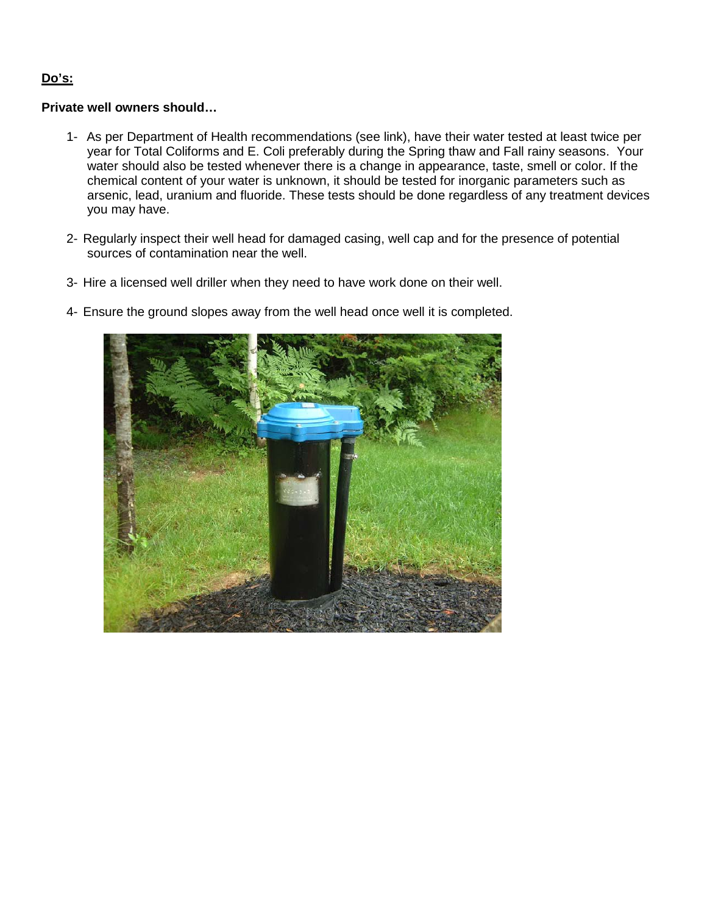## **Do's:**

## **Private well owners should…**

- 1- As per Department of Health recommendations (see link), have their water tested at least twice per year for Total Coliforms and E. Coli preferably during the Spring thaw and Fall rainy seasons. Your water should also be tested whenever there is a change in appearance, taste, smell or color. If the chemical content of your water is unknown, it should be tested for inorganic parameters such as arsenic, lead, uranium and fluoride. These tests should be done regardless of any treatment devices you may have.
- 2- Regularly inspect their well head for damaged casing, well cap and for the presence of potential sources of contamination near the well.
- 3- Hire a licensed well driller when they need to have work done on their well.
- 4- Ensure the ground slopes away from the well head once well it is completed.